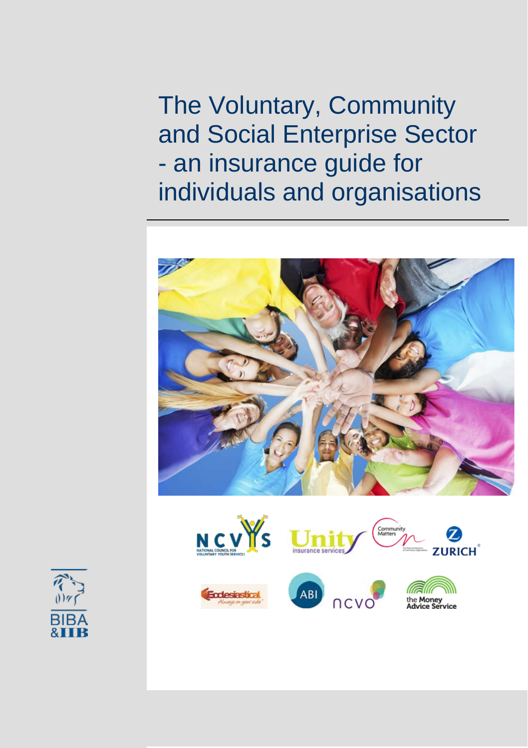The Voluntary, Community and Social Enterprise Sector - an insurance guide for individuals and organisations















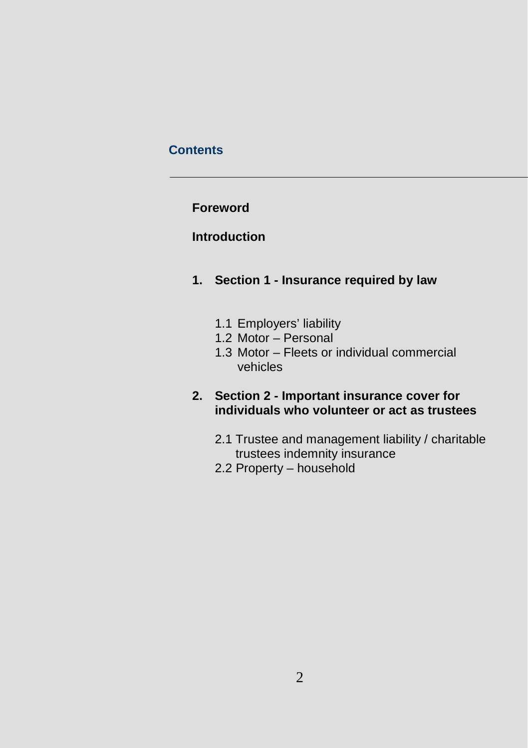## **Contents**

## **Foreword**

# **Introduction**

- **1. Section 1 - Insurance required by law**
	- 1.1 Employers' liability
	- 1.2 Motor Personal
	- 1.3 Motor Fleets or individual commercial vehicles

## **2. Section 2 - Important insurance cover for individuals who volunteer or act as trustees**

- 2.1 Trustee and management liability / charitable trustees indemnity insurance
- 2.2 Property household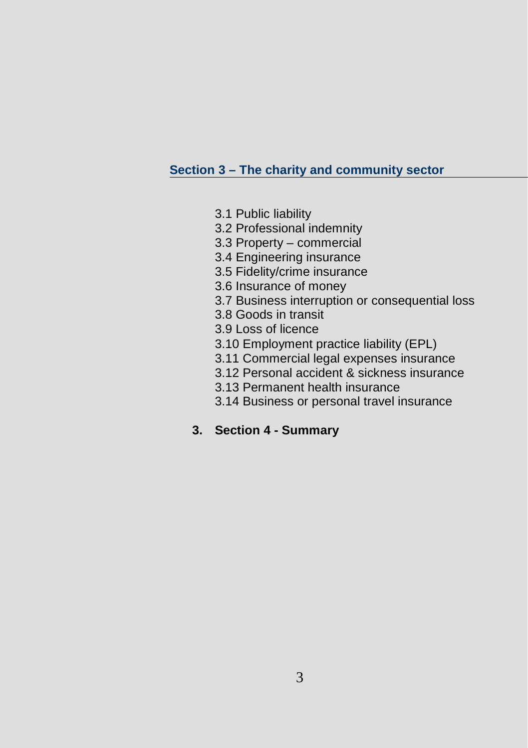## **Section 3 – The charity and community sector**

- 3.1 Public liability
- 3.2 Professional indemnity
- 3.3 Property commercial
- 3.4 Engineering insurance
- 3.5 Fidelity/crime insurance
- 3.6 Insurance of money
- 3.7 Business interruption or consequential loss
- 3.8 Goods in transit
- 3.9 Loss of licence
- 3.10 Employment practice liability (EPL)
- 3.11 Commercial legal expenses insurance
- 3.12 Personal accident & sickness insurance
- 3.13 Permanent health insurance
- 3.14 Business or personal travel insurance
- **3. Section 4 - Summary**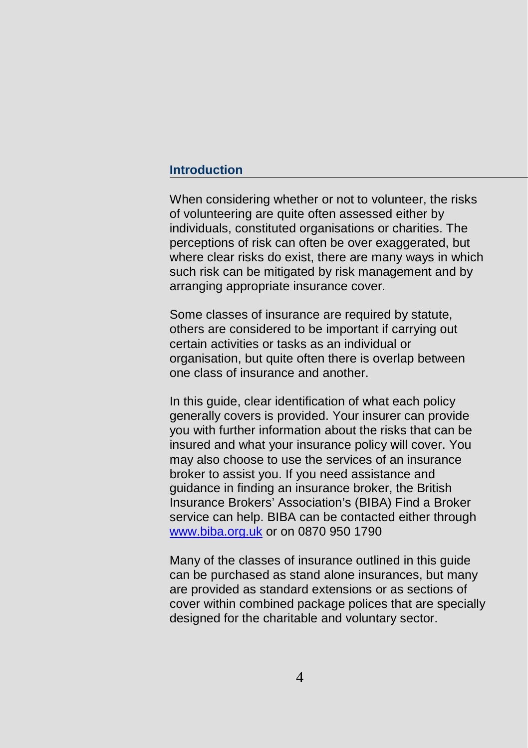#### **Introduction**

When considering whether or not to volunteer, the risks of volunteering are quite often assessed either by individuals, constituted organisations or charities. The perceptions of risk can often be over exaggerated, but where clear risks do exist, there are many ways in which such risk can be mitigated by risk management and by arranging appropriate insurance cover.

Some classes of insurance are required by statute, others are considered to be important if carrying out certain activities or tasks as an individual or organisation, but quite often there is overlap between one class of insurance and another.

In this guide, clear identification of what each policy generally covers is provided. Your insurer can provide you with further information about the risks that can be insured and what your insurance policy will cover. You may also choose to use the services of an insurance broker to assist you. If you need assistance and guidance in finding an insurance broker, the British Insurance Brokers' Association's (BIBA) Find a Broker service can help. BIBA can be contacted either through [www.biba.org.uk](http://www.biba.org.uk/) or on 0870 950 1790

Many of the classes of insurance outlined in this guide can be purchased as stand alone insurances, but many are provided as standard extensions or as sections of cover within combined package polices that are specially designed for the charitable and voluntary sector.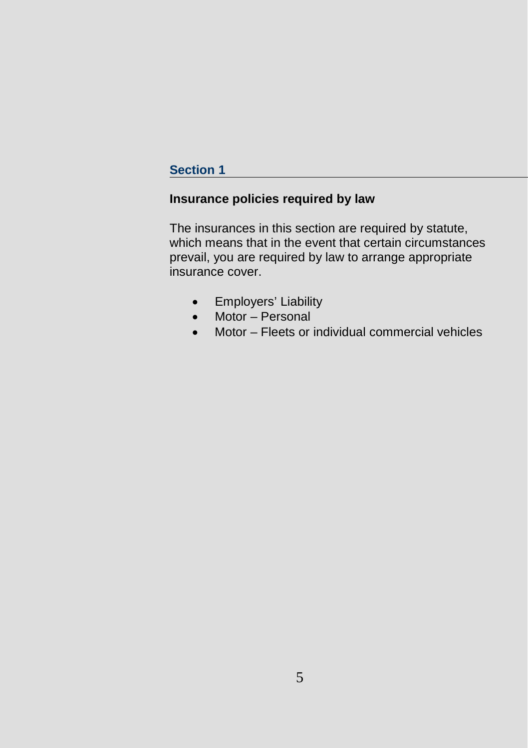## **Section 1**

# **Insurance policies required by law**

The insurances in this section are required by statute, which means that in the event that certain circumstances prevail, you are required by law to arrange appropriate insurance cover.

- Employers' Liability
- Motor Personal
- Motor Fleets or individual commercial vehicles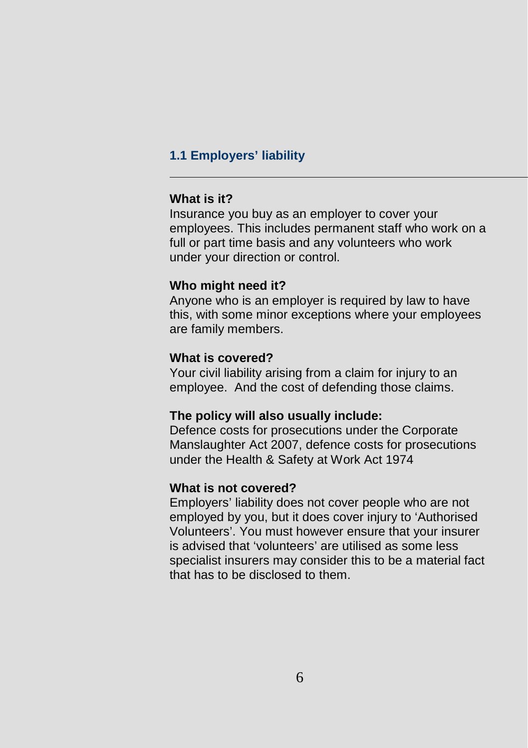## **1.1 Employers' liability**

#### **What is it?**

Insurance you buy as an employer to cover your employees. This includes permanent staff who work on a full or part time basis and any volunteers who work under your direction or control.

#### **Who might need it?**

Anyone who is an employer is required by law to have this, with some minor exceptions where your employees are family members.

### **What is covered?**

Your civil liability arising from a claim for injury to an employee. And the cost of defending those claims.

#### **The policy will also usually include:**

Defence costs for prosecutions under the Corporate Manslaughter Act 2007, defence costs for prosecutions under the Health & Safety at Work Act 1974

#### **What is not covered?**

Employers' liability does not cover people who are not employed by you, but it does cover injury to 'Authorised Volunteers'. You must however ensure that your insurer is advised that 'volunteers' are utilised as some less specialist insurers may consider this to be a material fact that has to be disclosed to them.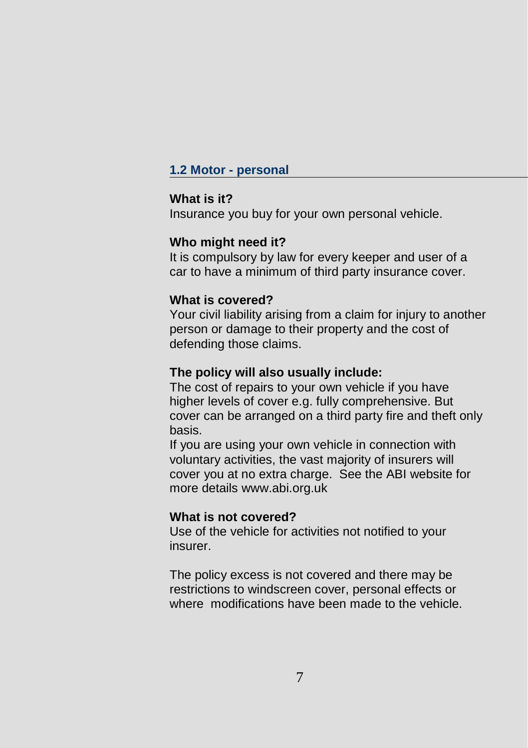## **1.2 Motor - personal**

## **What is it?**

Insurance you buy for your own personal vehicle.

#### **Who might need it?**

It is compulsory by law for every keeper and user of a car to have a minimum of third party insurance cover.

### **What is covered?**

Your civil liability arising from a claim for injury to another person or damage to their property and the cost of defending those claims.

### **The policy will also usually include:**

The cost of repairs to your own vehicle if you have higher levels of cover e.g. fully comprehensive. But cover can be arranged on a third party fire and theft only basis.

If you are using your own vehicle in connection with voluntary activities, the vast majority of insurers will cover you at no extra charge. See the ABI website for more details www.abi.org.uk

#### **What is not covered?**

Use of the vehicle for activities not notified to your insurer.

The policy excess is not covered and there may be restrictions to windscreen cover, personal effects or where modifications have been made to the vehicle.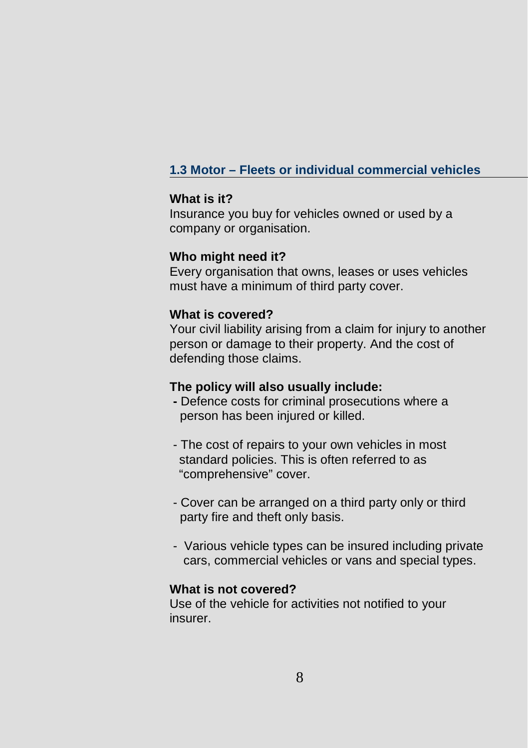# **1.3 Motor – Fleets or individual commercial vehicles**

#### **What is it?**

Insurance you buy for vehicles owned or used by a company or organisation.

#### **Who might need it?**

Every organisation that owns, leases or uses vehicles must have a minimum of third party cover.

#### **What is covered?**

Your civil liability arising from a claim for injury to another person or damage to their property. And the cost of defending those claims.

#### **The policy will also usually include:**

- **-** Defence costs for criminal prosecutions where a person has been injured or killed.
- The cost of repairs to your own vehicles in most standard policies. This is often referred to as "comprehensive" cover.
- Cover can be arranged on a third party only or third party fire and theft only basis.
- Various vehicle types can be insured including private cars, commercial vehicles or vans and special types.

### **What is not covered?**

Use of the vehicle for activities not notified to your insurer.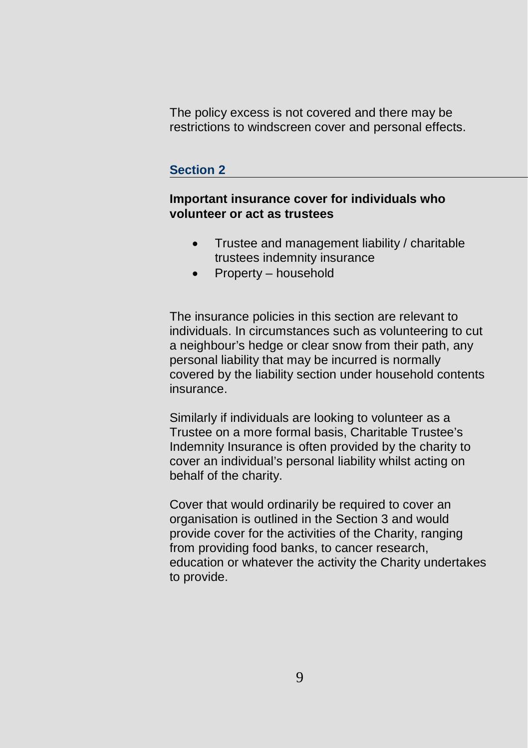The policy excess is not covered and there may be restrictions to windscreen cover and personal effects.

## **Section 2**

## **Important insurance cover for individuals who volunteer or act as trustees**

- Trustee and management liability / charitable trustees indemnity insurance
- Property household

The insurance policies in this section are relevant to individuals. In circumstances such as volunteering to cut a neighbour's hedge or clear snow from their path, any personal liability that may be incurred is normally covered by the liability section under household contents insurance.

Similarly if individuals are looking to volunteer as a Trustee on a more formal basis, Charitable Trustee's Indemnity Insurance is often provided by the charity to cover an individual's personal liability whilst acting on behalf of the charity.

Cover that would ordinarily be required to cover an organisation is outlined in the Section 3 and would provide cover for the activities of the Charity, ranging from providing food banks, to cancer research, education or whatever the activity the Charity undertakes to provide.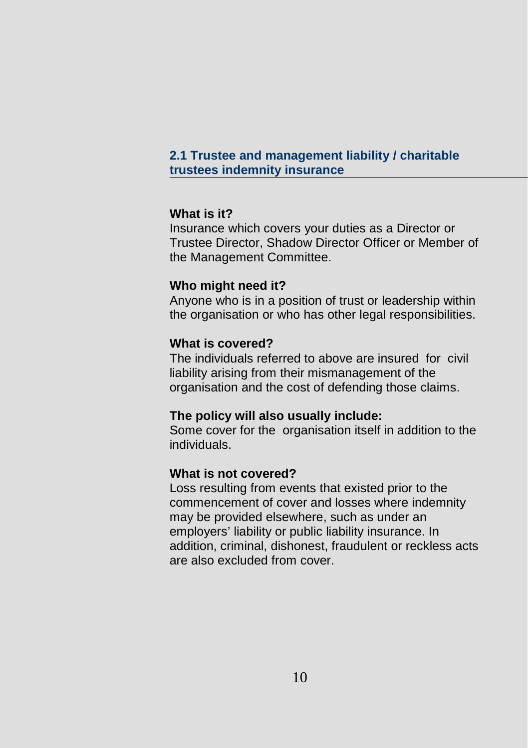## **2.1 Trustee and management liability / charitable trustees indemnity insurance**

## **What is it?**

Insurance which covers your duties as a Director or Trustee Director, Shadow Director Officer or Member of the Management Committee.

## **Who might need it?**

Anyone who is in a position of trust or leadership within the organisation or who has other legal responsibilities.

## **What is covered?**

The individuals referred to above are insured for civil liability arising from their mismanagement of the organisation and the cost of defending those claims.

## **The policy will also usually include:**

Some cover for the organisation itself in addition to the individuals.

## **What is not covered?**

Loss resulting from events that existed prior to the commencement of cover and losses where indemnity may be provided elsewhere, such as under an employers' liability or public liability insurance. In addition, criminal, dishonest, fraudulent or reckless acts are also excluded from cover.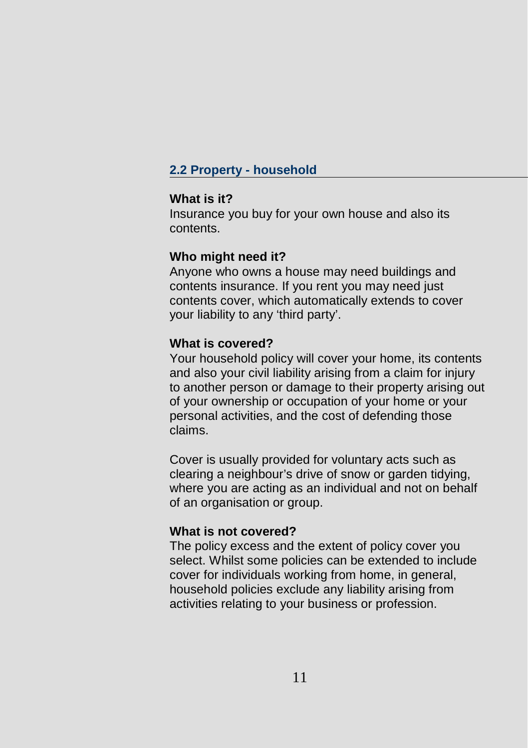## **2.2 Property - household**

#### **What is it?**

Insurance you buy for your own house and also its contents.

#### **Who might need it?**

Anyone who owns a house may need buildings and contents insurance. If you rent you may need just contents cover, which automatically extends to cover your liability to any 'third party'.

#### **What is covered?**

Your household policy will cover your home, its contents and also your civil liability arising from a claim for injury to another person or damage to their property arising out of your ownership or occupation of your home or your personal activities, and the cost of defending those claims.

Cover is usually provided for voluntary acts such as clearing a neighbour's drive of snow or garden tidying, where you are acting as an individual and not on behalf of an organisation or group.

#### **What is not covered?**

The policy excess and the extent of policy cover you select. Whilst some policies can be extended to include cover for individuals working from home, in general, household policies exclude any liability arising from activities relating to your business or profession.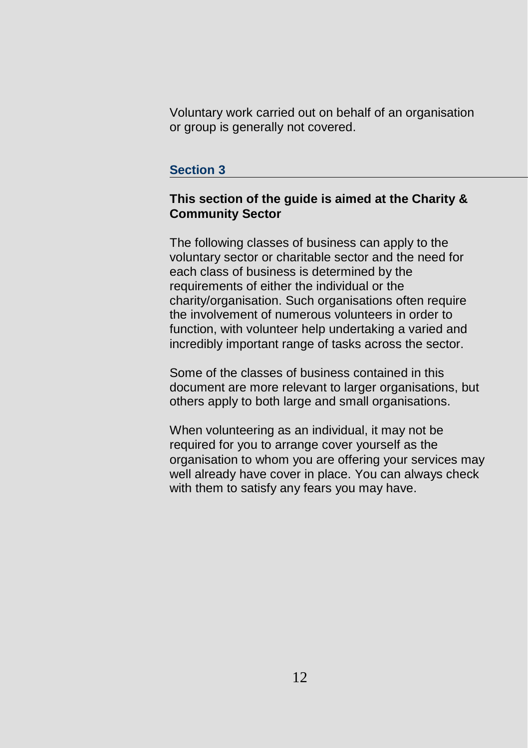Voluntary work carried out on behalf of an organisation or group is generally not covered.

#### **Section 3**

## **This section of the guide is aimed at the Charity & Community Sector**

The following classes of business can apply to the voluntary sector or charitable sector and the need for each class of business is determined by the requirements of either the individual or the charity/organisation. Such organisations often require the involvement of numerous volunteers in order to function, with volunteer help undertaking a varied and incredibly important range of tasks across the sector.

Some of the classes of business contained in this document are more relevant to larger organisations, but others apply to both large and small organisations.

When volunteering as an individual, it may not be required for you to arrange cover yourself as the organisation to whom you are offering your services may well already have cover in place. You can always check with them to satisfy any fears you may have.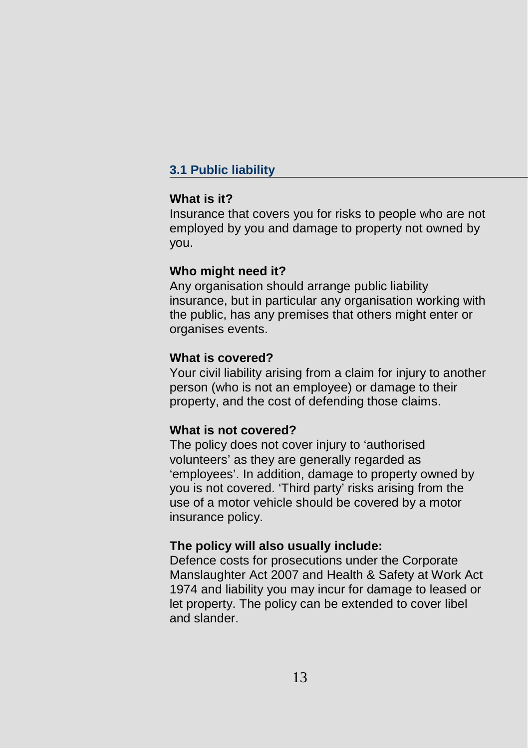# **3.1 Public liability**

## **What is it?**

Insurance that covers you for risks to people who are not employed by you and damage to property not owned by you.

## **Who might need it?**

Any organisation should arrange public liability insurance, but in particular any organisation working with the public, has any premises that others might enter or organises events.

## **What is covered?**

Your civil liability arising from a claim for injury to another person (who is not an employee) or damage to their property, and the cost of defending those claims.

## **What is not covered?**

The policy does not cover injury to 'authorised volunteers' as they are generally regarded as 'employees'. In addition, damage to property owned by you is not covered. 'Third party' risks arising from the use of a motor vehicle should be covered by a motor insurance policy.

## **The policy will also usually include:**

Defence costs for prosecutions under the Corporate Manslaughter Act 2007 and Health & Safety at Work Act 1974 and liability you may incur for damage to leased or let property. The policy can be extended to cover libel and slander.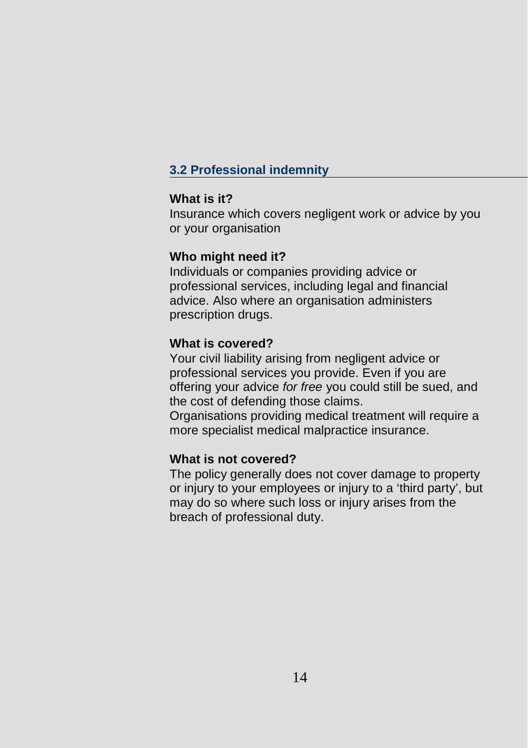# **3.2 Professional indemnity**

## **What is it?**

Insurance which covers negligent work or advice by you or your organisation

## **Who might need it?**

Individuals or companies providing advice or professional services, including legal and financial advice. Also where an organisation administers prescription drugs.

## **What is covered?**

Your civil liability arising from negligent advice or professional services you provide. Even if you are offering your advice *for free* you could still be sued, and the cost of defending those claims. Organisations providing medical treatment will require a

more specialist medical malpractice insurance.

## **What is not covered?**

The policy generally does not cover damage to property or injury to your employees or injury to a 'third party', but may do so where such loss or injury arises from the breach of professional duty.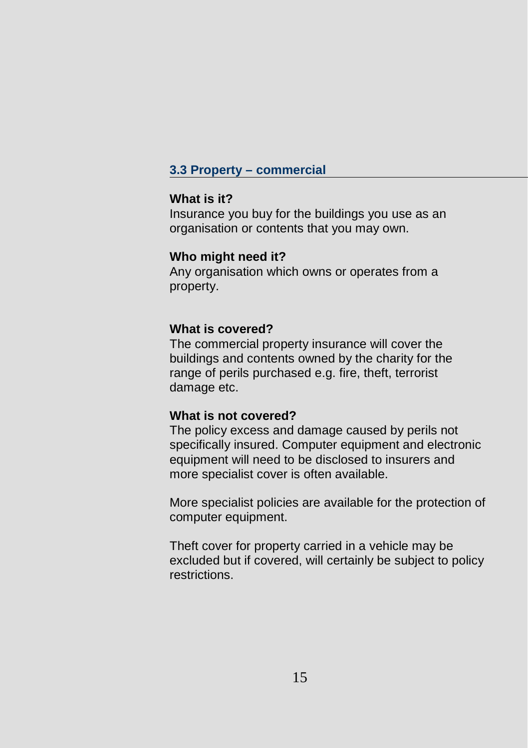## **3.3 Property – commercial**

#### **What is it?**

Insurance you buy for the buildings you use as an organisation or contents that you may own.

#### **Who might need it?**

Any organisation which owns or operates from a property.

## **What is covered?**

The commercial property insurance will cover the buildings and contents owned by the charity for the range of perils purchased e.g. fire, theft, terrorist damage etc.

## **What is not covered?**

The policy excess and damage caused by perils not specifically insured. Computer equipment and electronic equipment will need to be disclosed to insurers and more specialist cover is often available.

More specialist policies are available for the protection of computer equipment.

Theft cover for property carried in a vehicle may be excluded but if covered, will certainly be subject to policy restrictions.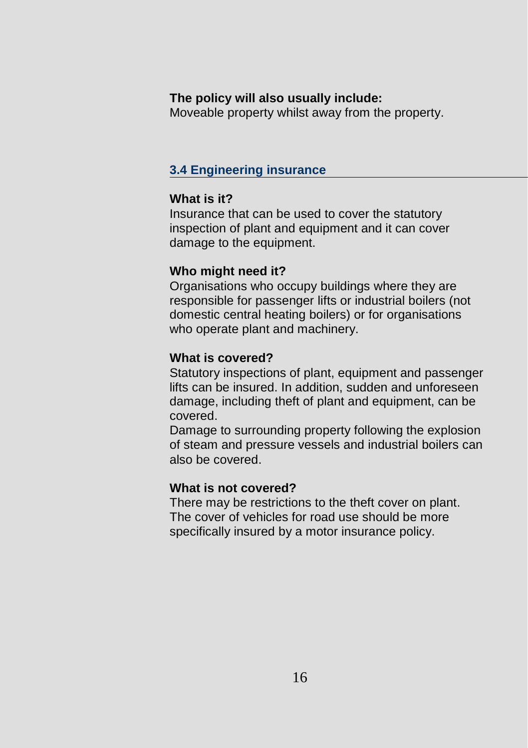## **The policy will also usually include:**

Moveable property whilst away from the property.

## **3.4 Engineering insurance**

## **What is it?**

Insurance that can be used to cover the statutory inspection of plant and equipment and it can cover damage to the equipment.

## **Who might need it?**

Organisations who occupy buildings where they are responsible for passenger lifts or industrial boilers (not domestic central heating boilers) or for organisations who operate plant and machinery.

## **What is covered?**

Statutory inspections of plant, equipment and passenger lifts can be insured. In addition, sudden and unforeseen damage, including theft of plant and equipment, can be covered.

Damage to surrounding property following the explosion of steam and pressure vessels and industrial boilers can also be covered.

## **What is not covered?**

There may be restrictions to the theft cover on plant. The cover of vehicles for road use should be more specifically insured by a motor insurance policy.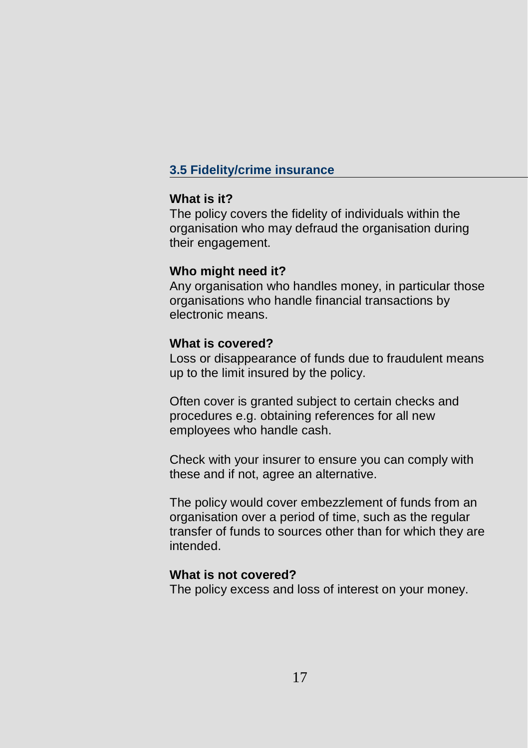# **3.5 Fidelity/crime insurance**

### **What is it?**

The policy covers the fidelity of individuals within the organisation who may defraud the organisation during their engagement.

## **Who might need it?**

Any organisation who handles money, in particular those organisations who handle financial transactions by electronic means.

## **What is covered?**

Loss or disappearance of funds due to fraudulent means up to the limit insured by the policy.

Often cover is granted subject to certain checks and procedures e.g. obtaining references for all new employees who handle cash.

Check with your insurer to ensure you can comply with these and if not, agree an alternative.

The policy would cover embezzlement of funds from an organisation over a period of time, such as the regular transfer of funds to sources other than for which they are intended.

## **What is not covered?**

The policy excess and loss of interest on your money.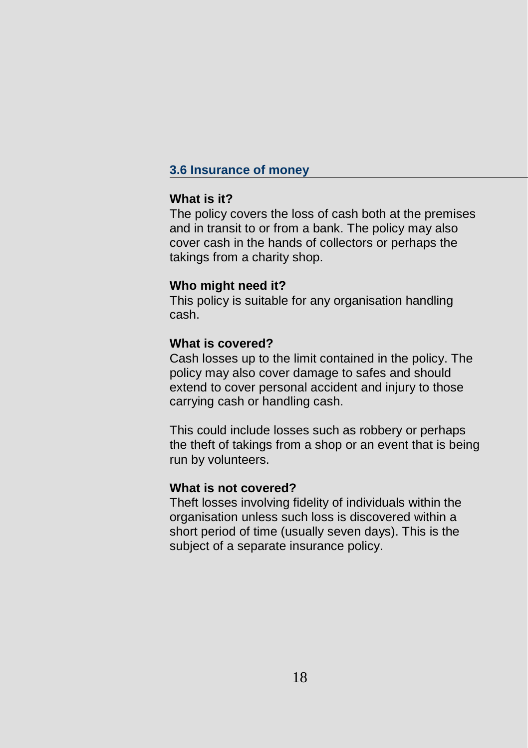## **3.6 Insurance of money**

### **What is it?**

The policy covers the loss of cash both at the premises and in transit to or from a bank. The policy may also cover cash in the hands of collectors or perhaps the takings from a charity shop.

## **Who might need it?**

This policy is suitable for any organisation handling cash.

## **What is covered?**

Cash losses up to the limit contained in the policy. The policy may also cover damage to safes and should extend to cover personal accident and injury to those carrying cash or handling cash.

This could include losses such as robbery or perhaps the theft of takings from a shop or an event that is being run by volunteers.

#### **What is not covered?**

Theft losses involving fidelity of individuals within the organisation unless such loss is discovered within a short period of time (usually seven days). This is the subject of a separate insurance policy.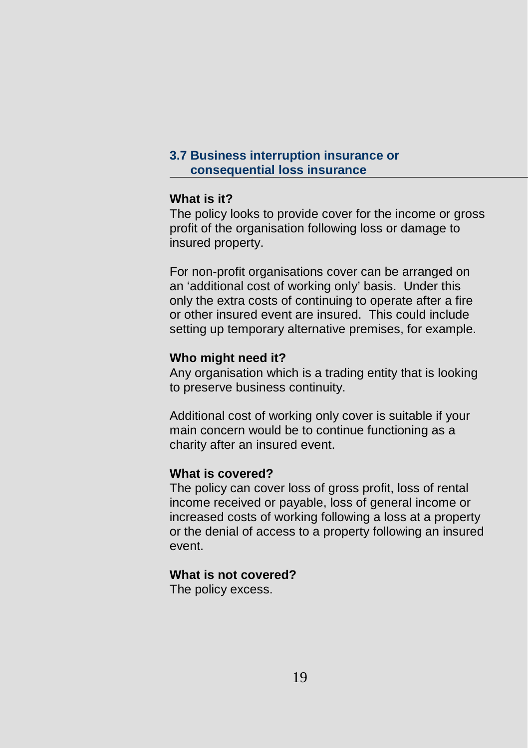## **3.7 Business interruption insurance or consequential loss insurance**

## **What is it?**

The policy looks to provide cover for the income or gross profit of the organisation following loss or damage to insured property.

For non-profit organisations cover can be arranged on an 'additional cost of working only' basis. Under this only the extra costs of continuing to operate after a fire or other insured event are insured. This could include setting up temporary alternative premises, for example.

## **Who might need it?**

Any organisation which is a trading entity that is looking to preserve business continuity.

Additional cost of working only cover is suitable if your main concern would be to continue functioning as a charity after an insured event.

## **What is covered?**

The policy can cover loss of gross profit, loss of rental income received or payable, loss of general income or increased costs of working following a loss at a property or the denial of access to a property following an insured event.

## **What is not covered?**

The policy excess.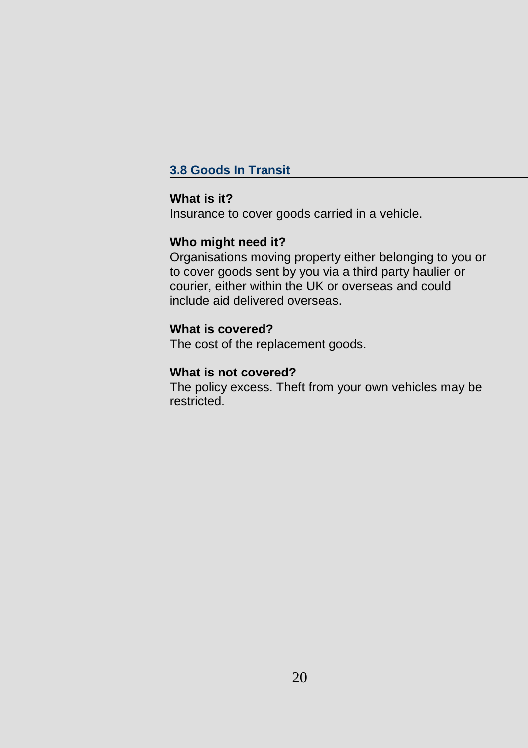# **3.8 Goods In Transit**

## **What is it?**

Insurance to cover goods carried in a vehicle.

# **Who might need it?**

Organisations moving property either belonging to you or to cover goods sent by you via a third party haulier or courier, either within the UK or overseas and could include aid delivered overseas.

# **What is covered?**

The cost of the replacement goods.

## **What is not covered?**

The policy excess. Theft from your own vehicles may be restricted.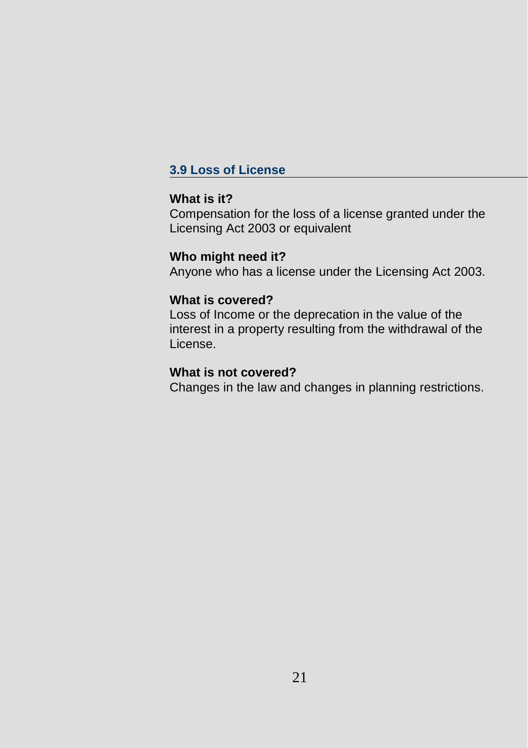## **3.9 Loss of License**

## **What is it?**

Compensation for the loss of a license granted under the Licensing Act 2003 or equivalent

## **Who might need it?**

Anyone who has a license under the Licensing Act 2003.

### **What is covered?**

Loss of Income or the deprecation in the value of the interest in a property resulting from the withdrawal of the License.

#### **What is not covered?**

Changes in the law and changes in planning restrictions.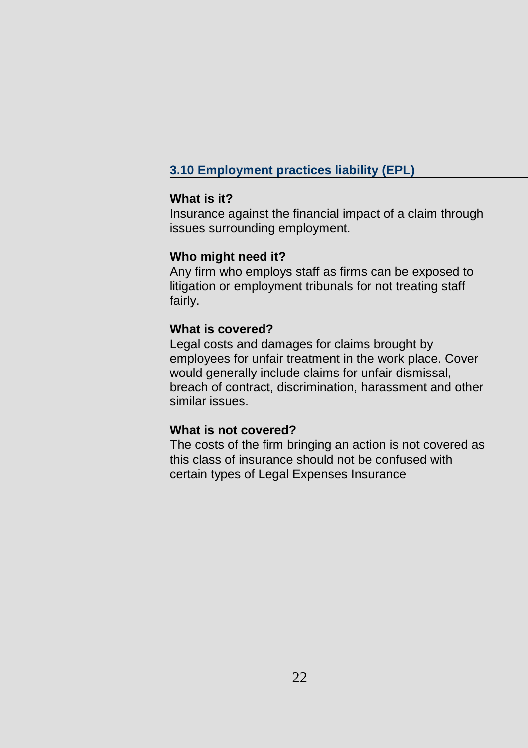# **3.10 Employment practices liability (EPL)**

#### **What is it?**

Insurance against the financial impact of a claim through issues surrounding employment.

#### **Who might need it?**

Any firm who employs staff as firms can be exposed to litigation or employment tribunals for not treating staff fairly.

## **What is covered?**

Legal costs and damages for claims brought by employees for unfair treatment in the work place. Cover would generally include claims for unfair dismissal, breach of contract, discrimination, harassment and other similar issues.

#### **What is not covered?**

The costs of the firm bringing an action is not covered as this class of insurance should not be confused with certain types of Legal Expenses Insurance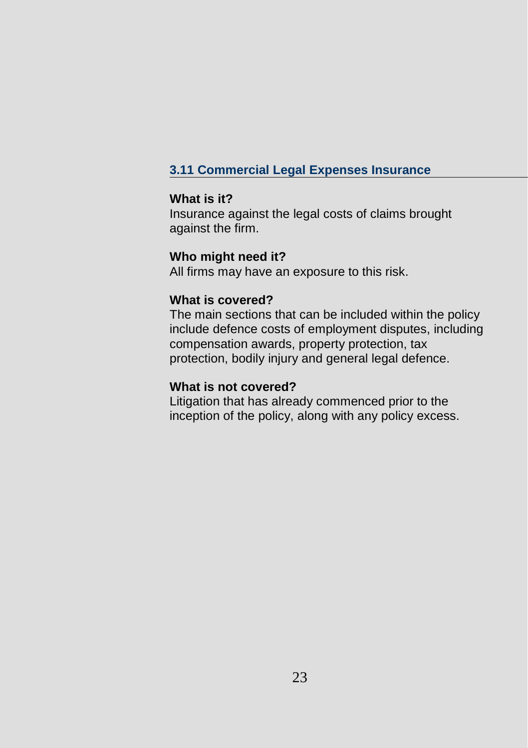# **3.11 Commercial Legal Expenses Insurance**

## **What is it?**

Insurance against the legal costs of claims brought against the firm.

## **Who might need it?**

All firms may have an exposure to this risk.

## **What is covered?**

The main sections that can be included within the policy include defence costs of employment disputes, including compensation awards, property protection, tax protection, bodily injury and general legal defence.

## **What is not covered?**

Litigation that has already commenced prior to the inception of the policy, along with any policy excess.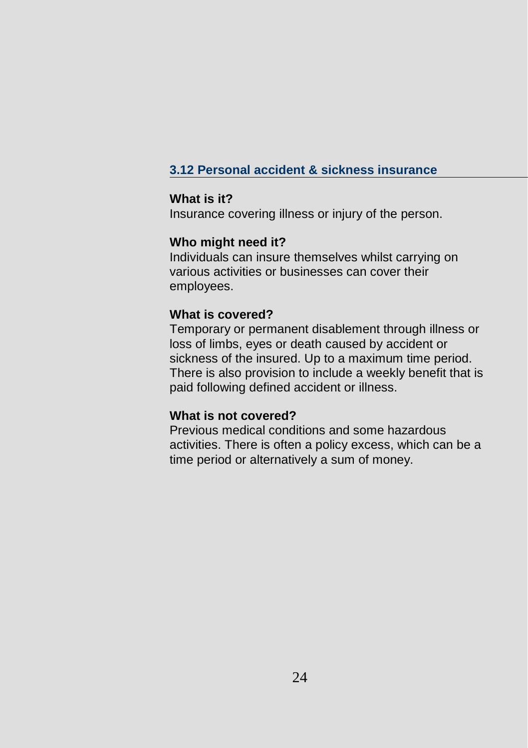# **3.12 Personal accident & sickness insurance**

## **What is it?**

Insurance covering illness or injury of the person.

## **Who might need it?**

Individuals can insure themselves whilst carrying on various activities or businesses can cover their employees.

## **What is covered?**

Temporary or permanent disablement through illness or loss of limbs, eyes or death caused by accident or sickness of the insured. Up to a maximum time period. There is also provision to include a weekly benefit that is paid following defined accident or illness.

## **What is not covered?**

Previous medical conditions and some hazardous activities. There is often a policy excess, which can be a time period or alternatively a sum of money.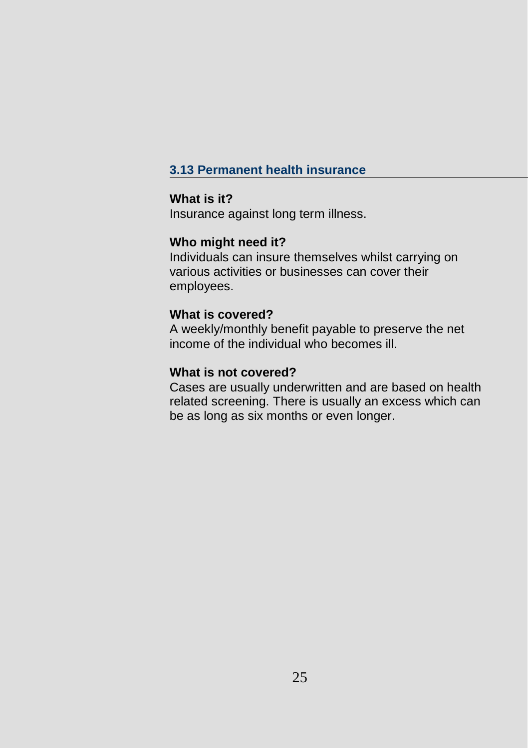# **3.13 Permanent health insurance**

## **What is it?**

Insurance against long term illness.

# **Who might need it?**

Individuals can insure themselves whilst carrying on various activities or businesses can cover their employees.

## **What is covered?**

A weekly/monthly benefit payable to preserve the net income of the individual who becomes ill.

## **What is not covered?**

Cases are usually underwritten and are based on health related screening. There is usually an excess which can be as long as six months or even longer.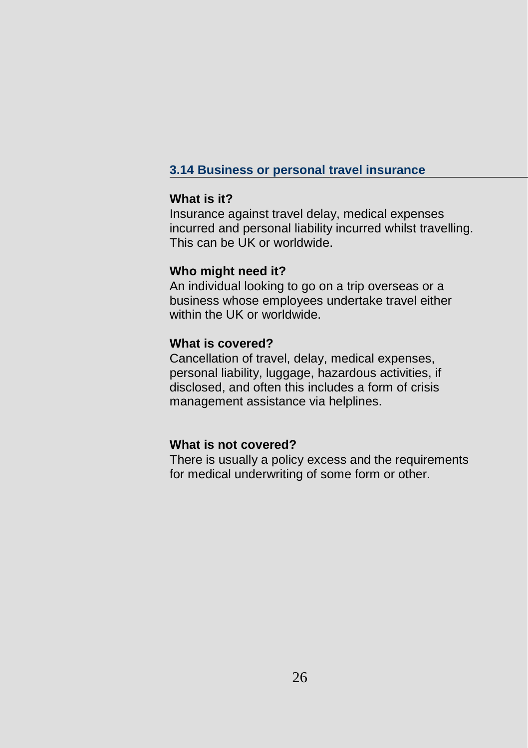# **3.14 Business or personal travel insurance**

### **What is it?**

Insurance against travel delay, medical expenses incurred and personal liability incurred whilst travelling. This can be UK or worldwide.

## **Who might need it?**

An individual looking to go on a trip overseas or a business whose employees undertake travel either within the UK or worldwide.

## **What is covered?**

Cancellation of travel, delay, medical expenses, personal liability, luggage, hazardous activities, if disclosed, and often this includes a form of crisis management assistance via helplines.

#### **What is not covered?**

There is usually a policy excess and the requirements for medical underwriting of some form or other.